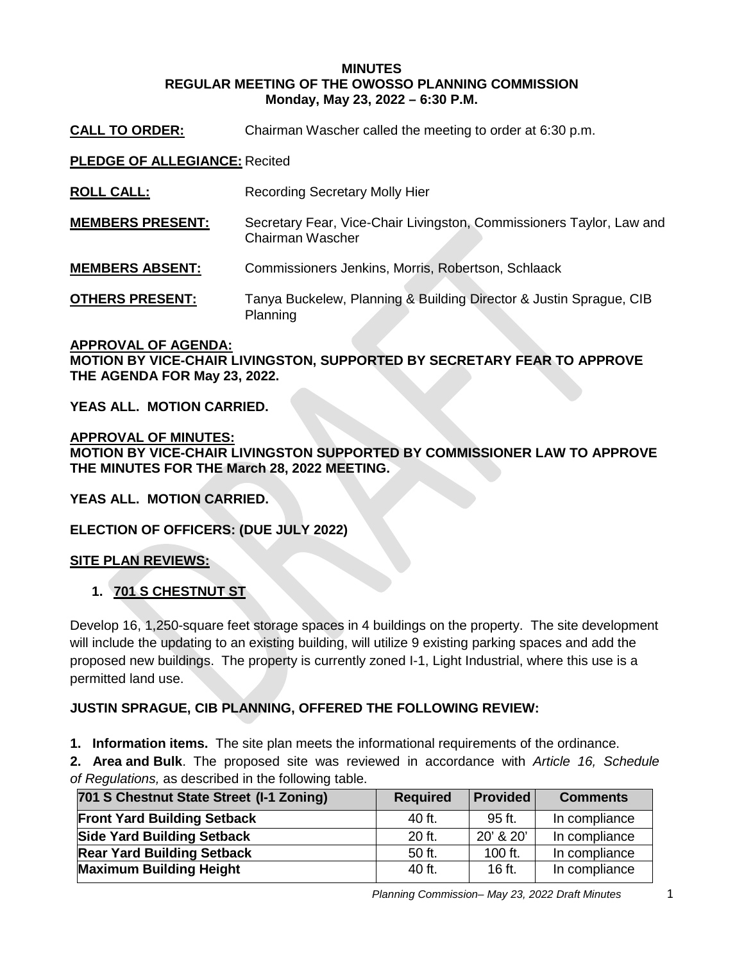### **MINUTES REGULAR MEETING OF THE OWOSSO PLANNING COMMISSION Monday, May 23, 2022 – 6:30 P.M.**

**CALL TO ORDER:** Chairman Wascher called the meeting to order at 6:30 p.m.

**PLEDGE OF ALLEGIANCE:** Recited

- **ROLL CALL:** Recording Secretary Molly Hier
- **MEMBERS PRESENT:** Secretary Fear, Vice-Chair Livingston, Commissioners Taylor, Law and Chairman Wascher
- **MEMBERS ABSENT:** Commissioners Jenkins, Morris, Robertson, Schlaack
- **OTHERS PRESENT:** Tanya Buckelew, Planning & Building Director & Justin Sprague, CIB Planning

# **APPROVAL OF AGENDA: MOTION BY VICE-CHAIR LIVINGSTON, SUPPORTED BY SECRETARY FEAR TO APPROVE THE AGENDA FOR May 23, 2022.**

**YEAS ALL. MOTION CARRIED.**

**APPROVAL OF MINUTES: MOTION BY VICE-CHAIR LIVINGSTON SUPPORTED BY COMMISSIONER LAW TO APPROVE THE MINUTES FOR THE March 28, 2022 MEETING.** 

**YEAS ALL. MOTION CARRIED.**

**ELECTION OF OFFICERS: (DUE JULY 2022)**

## **SITE PLAN REVIEWS:**

## **1. 701 S CHESTNUT ST**

Develop 16, 1,250-square feet storage spaces in 4 buildings on the property. The site development will include the updating to an existing building, will utilize 9 existing parking spaces and add the proposed new buildings. The property is currently zoned I-1, Light Industrial, where this use is a permitted land use.

## **JUSTIN SPRAGUE, CIB PLANNING, OFFERED THE FOLLOWING REVIEW:**

**1. Information items.** The site plan meets the informational requirements of the ordinance.

**2. Area and Bulk**. The proposed site was reviewed in accordance with *Article 16, Schedule of Regulations,* as described in the following table.

| 701 S Chestnut State Street (I-1 Zoning) | <b>Required</b> | <b>Provided</b> | <b>Comments</b> |
|------------------------------------------|-----------------|-----------------|-----------------|
| <b>Front Yard Building Setback</b>       | $40$ ft.        | 95 ft.          | In compliance   |
| <b>Side Yard Building Setback</b>        | 20 ft.          | 20' & 20'       | In compliance   |
| <b>Rear Yard Building Setback</b>        | 50 ft.          | 100 ft.         | In compliance   |
| <b>Maximum Building Height</b>           | $40$ ft.        | 16 ft.          | In compliance   |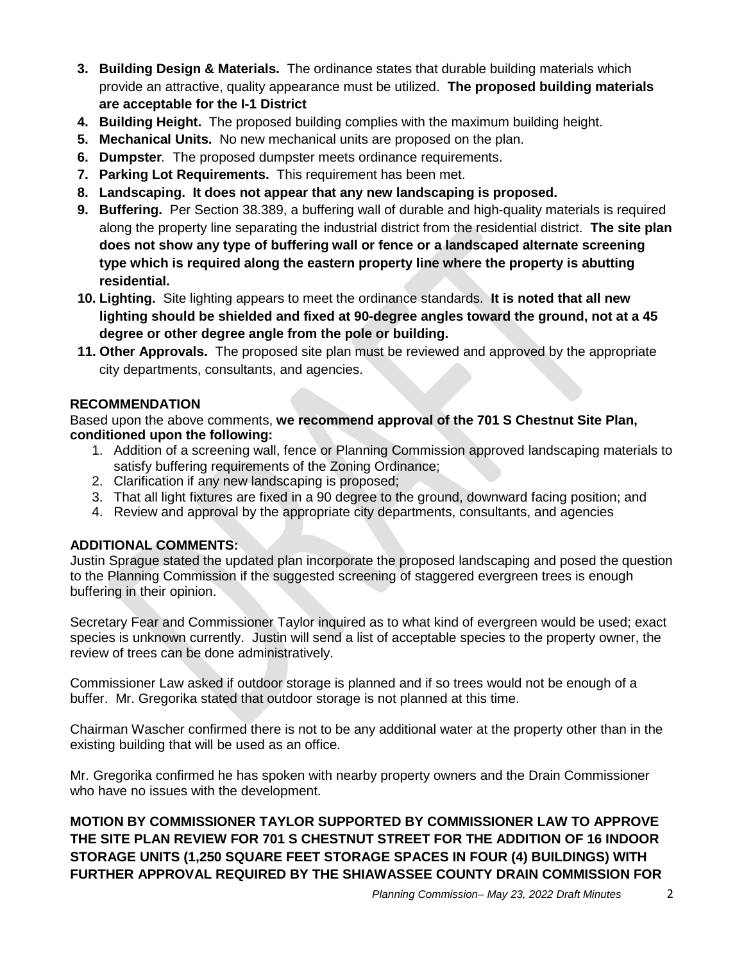- **3. Building Design & Materials.** The ordinance states that durable building materials which provide an attractive, quality appearance must be utilized. **The proposed building materials are acceptable for the I-1 District**
- **4. Building Height.** The proposed building complies with the maximum building height.
- **5. Mechanical Units.** No new mechanical units are proposed on the plan.
- **6. Dumpster***.* The proposed dumpster meets ordinance requirements.
- **7. Parking Lot Requirements.** This requirement has been met.
- **8. Landscaping. It does not appear that any new landscaping is proposed.**
- **9. Buffering.** Per Section 38.389, a buffering wall of durable and high-quality materials is required along the property line separating the industrial district from the residential district. **The site plan does not show any type of buffering wall or fence or a landscaped alternate screening type which is required along the eastern property line where the property is abutting residential.**
- **10. Lighting.** Site lighting appears to meet the ordinance standards. **It is noted that all new lighting should be shielded and fixed at 90-degree angles toward the ground, not at a 45 degree or other degree angle from the pole or building.**
- **11. Other Approvals.** The proposed site plan must be reviewed and approved by the appropriate city departments, consultants, and agencies.

# **RECOMMENDATION**

Based upon the above comments, **we recommend approval of the 701 S Chestnut Site Plan, conditioned upon the following:**

- 1. Addition of a screening wall, fence or Planning Commission approved landscaping materials to satisfy buffering requirements of the Zoning Ordinance;
- 2. Clarification if any new landscaping is proposed;
- 3. That all light fixtures are fixed in a 90 degree to the ground, downward facing position; and
- 4. Review and approval by the appropriate city departments, consultants, and agencies

# **ADDITIONAL COMMENTS:**

Justin Sprague stated the updated plan incorporate the proposed landscaping and posed the question to the Planning Commission if the suggested screening of staggered evergreen trees is enough buffering in their opinion.

Secretary Fear and Commissioner Taylor inquired as to what kind of evergreen would be used; exact species is unknown currently. Justin will send a list of acceptable species to the property owner, the review of trees can be done administratively.

Commissioner Law asked if outdoor storage is planned and if so trees would not be enough of a buffer. Mr. Gregorika stated that outdoor storage is not planned at this time.

Chairman Wascher confirmed there is not to be any additional water at the property other than in the existing building that will be used as an office.

Mr. Gregorika confirmed he has spoken with nearby property owners and the Drain Commissioner who have no issues with the development.

**MOTION BY COMMISSIONER TAYLOR SUPPORTED BY COMMISSIONER LAW TO APPROVE THE SITE PLAN REVIEW FOR 701 S CHESTNUT STREET FOR THE ADDITION OF 16 INDOOR STORAGE UNITS (1,250 SQUARE FEET STORAGE SPACES IN FOUR (4) BUILDINGS) WITH FURTHER APPROVAL REQUIRED BY THE SHIAWASSEE COUNTY DRAIN COMMISSION FOR**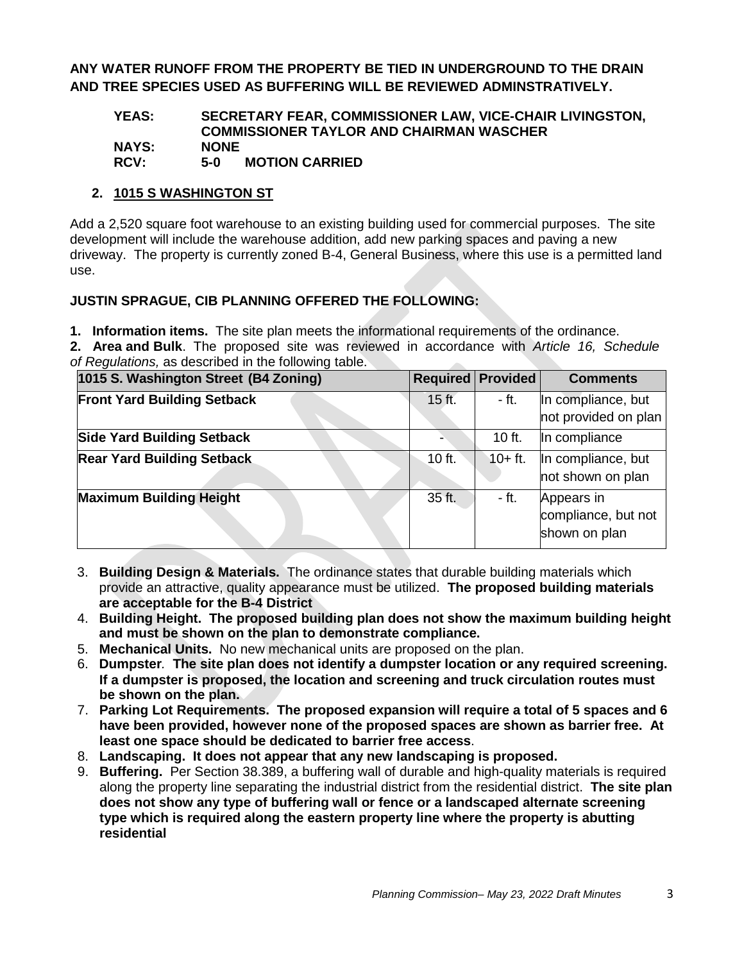**ANY WATER RUNOFF FROM THE PROPERTY BE TIED IN UNDERGROUND TO THE DRAIN AND TREE SPECIES USED AS BUFFERING WILL BE REVIEWED ADMINSTRATIVELY.**

#### **YEAS: SECRETARY FEAR, COMMISSIONER LAW, VICE-CHAIR LIVINGSTON, COMMISSIONER TAYLOR AND CHAIRMAN WASCHER NAYS: NONE MOTION CARRIED**

# **2. 1015 S WASHINGTON ST**

Add a 2,520 square foot warehouse to an existing building used for commercial purposes. The site development will include the warehouse addition, add new parking spaces and paving a new driveway. The property is currently zoned B-4, General Business, where this use is a permitted land use.

# **JUSTIN SPRAGUE, CIB PLANNING OFFERED THE FOLLOWING:**

**1. Information items.** The site plan meets the informational requirements of the ordinance.

**2. Area and Bulk**. The proposed site was reviewed in accordance with *Article 16, Schedule of Regulations,* as described in the following table.

| 1015 S. Washington Street (B4 Zoning) |          | <b>Required Provided</b> | <b>Comments</b>                                    |
|---------------------------------------|----------|--------------------------|----------------------------------------------------|
| <b>Front Yard Building Setback</b>    | $15$ ft. | - ft.                    | In compliance, but<br>not provided on plan         |
| <b>Side Yard Building Setback</b>     |          | $10$ ft.                 | In compliance                                      |
| <b>Rear Yard Building Setback</b>     | $10$ ft. | $10 + ft.$               | In compliance, but<br>not shown on plan            |
| <b>Maximum Building Height</b>        | 35 ft.   | - ft.                    | Appears in<br>compliance, but not<br>shown on plan |

- 3. **Building Design & Materials.** The ordinance states that durable building materials which provide an attractive, quality appearance must be utilized. **The proposed building materials are acceptable for the B-4 District**
- 4. **Building Height. The proposed building plan does not show the maximum building height and must be shown on the plan to demonstrate compliance.**
- 5. **Mechanical Units.** No new mechanical units are proposed on the plan.
- 6. **Dumpster***.* **The site plan does not identify a dumpster location or any required screening. If a dumpster is proposed, the location and screening and truck circulation routes must be shown on the plan.**
- 7. **Parking Lot Requirements. The proposed expansion will require a total of 5 spaces and 6 have been provided, however none of the proposed spaces are shown as barrier free. At least one space should be dedicated to barrier free access**.
- 8. **Landscaping. It does not appear that any new landscaping is proposed.**
- 9. **Buffering.** Per Section 38.389, a buffering wall of durable and high-quality materials is required along the property line separating the industrial district from the residential district. **The site plan does not show any type of buffering wall or fence or a landscaped alternate screening type which is required along the eastern property line where the property is abutting residential**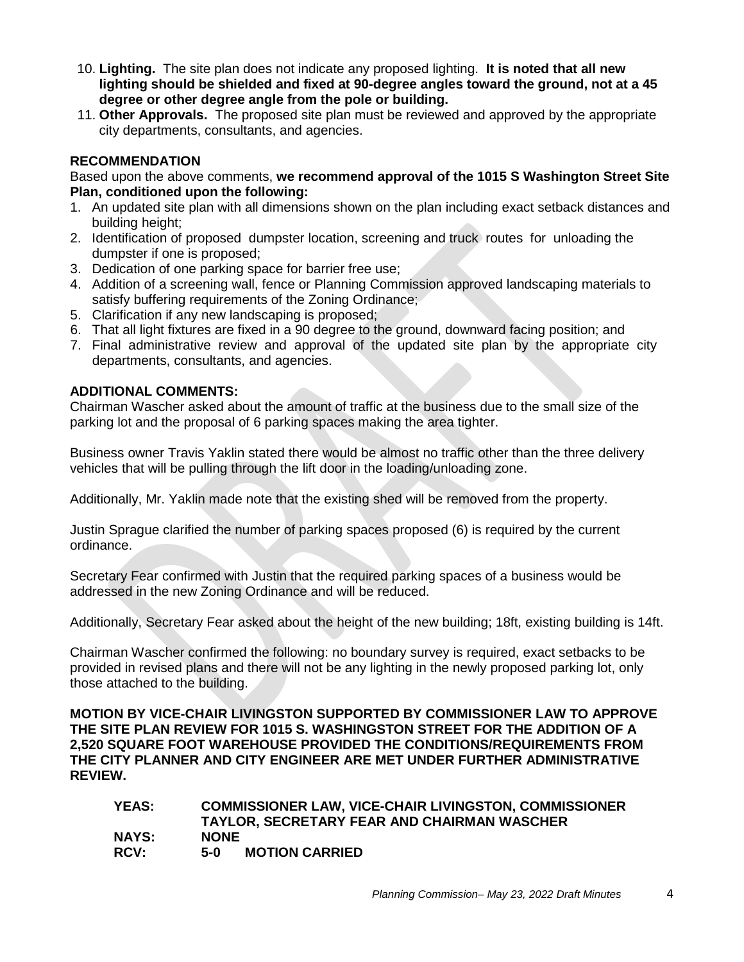- 10. **Lighting.** The site plan does not indicate any proposed lighting. **It is noted that all new lighting should be shielded and fixed at 90-degree angles toward the ground, not at a 45 degree or other degree angle from the pole or building.**
- 11. **Other Approvals.** The proposed site plan must be reviewed and approved by the appropriate city departments, consultants, and agencies.

# **RECOMMENDATION**

Based upon the above comments, **we recommend approval of the 1015 S Washington Street Site Plan, conditioned upon the following:**

- 1. An updated site plan with all dimensions shown on the plan including exact setback distances and building height;
- 2. Identification of proposed dumpster location, screening and truck routes for unloading the dumpster if one is proposed;
- 3. Dedication of one parking space for barrier free use;
- 4. Addition of a screening wall, fence or Planning Commission approved landscaping materials to satisfy buffering requirements of the Zoning Ordinance;
- 5. Clarification if any new landscaping is proposed;
- 6. That all light fixtures are fixed in a 90 degree to the ground, downward facing position; and
- 7. Final administrative review and approval of the updated site plan by the appropriate city departments, consultants, and agencies.

### **ADDITIONAL COMMENTS:**

Chairman Wascher asked about the amount of traffic at the business due to the small size of the parking lot and the proposal of 6 parking spaces making the area tighter.

Business owner Travis Yaklin stated there would be almost no traffic other than the three delivery vehicles that will be pulling through the lift door in the loading/unloading zone.

Additionally, Mr. Yaklin made note that the existing shed will be removed from the property.

Justin Sprague clarified the number of parking spaces proposed (6) is required by the current ordinance.

Secretary Fear confirmed with Justin that the required parking spaces of a business would be addressed in the new Zoning Ordinance and will be reduced.

Additionally, Secretary Fear asked about the height of the new building; 18ft, existing building is 14ft.

Chairman Wascher confirmed the following: no boundary survey is required, exact setbacks to be provided in revised plans and there will not be any lighting in the newly proposed parking lot, only those attached to the building.

**MOTION BY VICE-CHAIR LIVINGSTON SUPPORTED BY COMMISSIONER LAW TO APPROVE THE SITE PLAN REVIEW FOR 1015 S. WASHINGSTON STREET FOR THE ADDITION OF A 2,520 SQUARE FOOT WAREHOUSE PROVIDED THE CONDITIONS/REQUIREMENTS FROM THE CITY PLANNER AND CITY ENGINEER ARE MET UNDER FURTHER ADMINISTRATIVE REVIEW.**

| YEAS:       | <b>COMMISSIONER LAW, VICE-CHAIR LIVINGSTON, COMMISSIONER</b><br><b>TAYLOR, SECRETARY FEAR AND CHAIRMAN WASCHER</b> |
|-------------|--------------------------------------------------------------------------------------------------------------------|
| NAYS:       | <b>NONE</b>                                                                                                        |
| <b>RCV:</b> | <b>MOTION CARRIED</b><br>$5-0$                                                                                     |